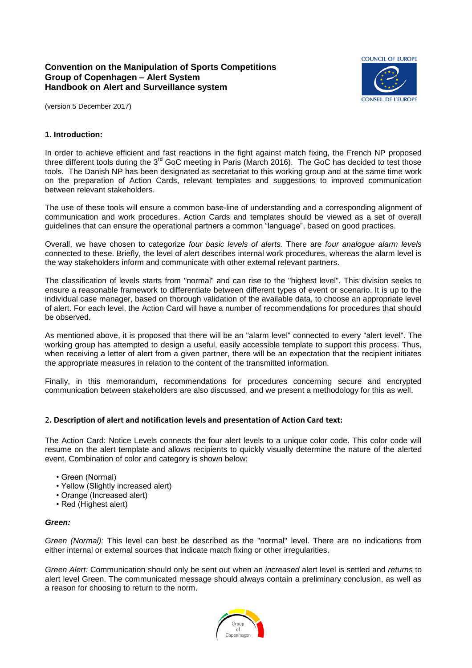# **Convention on the Manipulation of Sports Competitions Group of Copenhagen – Alert System Handbook on Alert and Surveillance system**



(version 5 December 2017)

# **1. Introduction:**

In order to achieve efficient and fast reactions in the fight against match fixing, the French NP proposed three different tools during the 3<sup>rd</sup> GoC meeting in Paris (March 2016). The GoC has decided to test those tools. The Danish NP has been designated as secretariat to this working group and at the same time work on the preparation of Action Cards, relevant templates and suggestions to improved communication between relevant stakeholders.

The use of these tools will ensure a common base-line of understanding and a corresponding alignment of communication and work procedures. Action Cards and templates should be viewed as a set of overall guidelines that can ensure the operational partners a common "language", based on good practices.

Overall, we have chosen to categorize *four basic levels of alerts.* There are *four analogue alarm levels* connected to these. Briefly, the level of alert describes internal work procedures, whereas the alarm level is the way stakeholders inform and communicate with other external relevant partners.

The classification of levels starts from "normal" and can rise to the "highest level". This division seeks to ensure a reasonable framework to differentiate between different types of event or scenario. It is up to the individual case manager, based on thorough validation of the available data, to choose an appropriate level of alert. For each level, the Action Card will have a number of recommendations for procedures that should be observed.

As mentioned above, it is proposed that there will be an "alarm level" connected to every "alert level". The working group has attempted to design a useful, easily accessible template to support this process. Thus, when receiving a letter of alert from a given partner, there will be an expectation that the recipient initiates the appropriate measures in relation to the content of the transmitted information.

Finally, in this memorandum, recommendations for procedures concerning secure and encrypted communication between stakeholders are also discussed, and we present a methodology for this as well.

## 2**. Description of alert and notification levels and presentation of Action Card text:**

The Action Card: Notice Levels connects the four alert levels to a unique color code. This color code will resume on the alert template and allows recipients to quickly visually determine the nature of the alerted event. Combination of color and category is shown below:

- Green (Normal)
- Yellow (Slightly increased alert)
- Orange (Increased alert)
- Red (Highest alert)

#### *Green:*

*Green (Normal):* This level can best be described as the "normal" level. There are no indications from either internal or external sources that indicate match fixing or other irregularities.

*Green Alert:* Communication should only be sent out when an *increased* alert level is settled and *returns* to alert level Green. The communicated message should always contain a preliminary conclusion, as well as a reason for choosing to return to the norm.

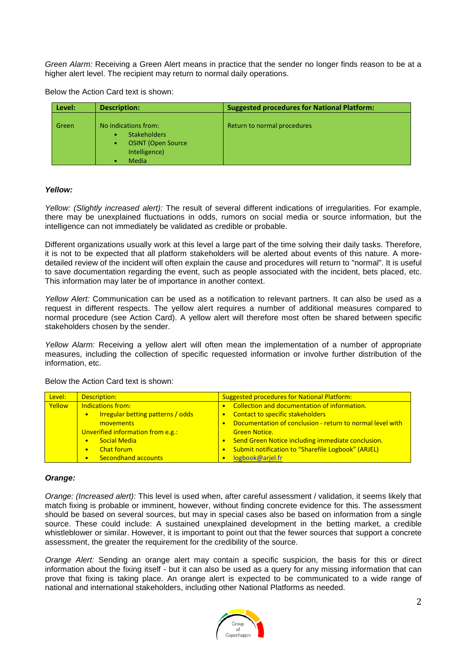*Green Alarm:* Receiving a Green Alert means in practice that the sender no longer finds reason to be at a higher alert level. The recipient may return to normal daily operations.

Below the Action Card text is shown:

| Level: | <b>Description:</b>                                                                                                           | <b>Suggested procedures for National Platform:</b> |
|--------|-------------------------------------------------------------------------------------------------------------------------------|----------------------------------------------------|
| Green  | No indications from:<br><b>Stakeholders</b><br>$\bullet$<br><b>OSINT (Open Source)</b><br>$\bullet$<br>Intelligence)<br>Media | Return to normal procedures                        |

## *Yellow:*

*Yellow: (Slightly increased alert):* The result of several different indications of irregularities. For example, there may be unexplained fluctuations in odds, rumors on social media or source information, but the intelligence can not immediately be validated as credible or probable.

Different organizations usually work at this level a large part of the time solving their daily tasks. Therefore, it is not to be expected that all platform stakeholders will be alerted about events of this nature. A moredetailed review of the incident will often explain the cause and procedures will return to "normal". It is useful to save documentation regarding the event, such as people associated with the incident, bets placed, etc. This information may later be of importance in another context.

*Yellow Alert:* Communication can be used as a notification to relevant partners. It can also be used as a request in different respects. The yellow alert requires a number of additional measures compared to normal procedure (see Action Card). A yellow alert will therefore most often be shared between specific stakeholders chosen by the sender.

*Yellow Alarm:* Receiving a yellow alert will often mean the implementation of a number of appropriate measures, including the collection of specific requested information or involve further distribution of the information, etc.

| Level: | Description:                                          | <b>Suggested procedures for National Platform:</b>        |  |  |  |  |
|--------|-------------------------------------------------------|-----------------------------------------------------------|--|--|--|--|
| Yellow | <b>Indications from:</b>                              | Collection and documentation of information.<br>$\bullet$ |  |  |  |  |
|        | <b>Irregular betting patterns / odds</b><br>$\bullet$ | Contact to specific stakeholders                          |  |  |  |  |
|        | movements                                             | Documentation of conclusion - return to normal level with |  |  |  |  |
|        | Unverified information from e.g.:                     | <b>Green Notice.</b>                                      |  |  |  |  |
|        | <b>Social Media</b>                                   | Send Green Notice including immediate conclusion.         |  |  |  |  |
|        | <b>Chat forum</b><br>$\bullet$                        | Submit notification to "Sharefile Logbook" (ARJEL)        |  |  |  |  |
|        | <b>Secondhand accounts</b>                            | logbook@ariel.fr                                          |  |  |  |  |

## Below the Action Card text is shown:

## *Orange:*

*Orange: (Increased alert):* This level is used when, after careful assessment / validation, it seems likely that match fixing is probable or imminent, however, without finding concrete evidence for this. The assessment should be based on several sources, but may in special cases also be based on information from a single source. These could include: A sustained unexplained development in the betting market, a credible whistleblower or similar. However, it is important to point out that the fewer sources that support a concrete assessment, the greater the requirement for the credibility of the source.

*Orange Alert:* Sending an orange alert may contain a specific suspicion, the basis for this or direct information about the fixing itself - but it can also be used as a query for any missing information that can prove that fixing is taking place. An orange alert is expected to be communicated to a wide range of national and international stakeholders, including other National Platforms as needed.

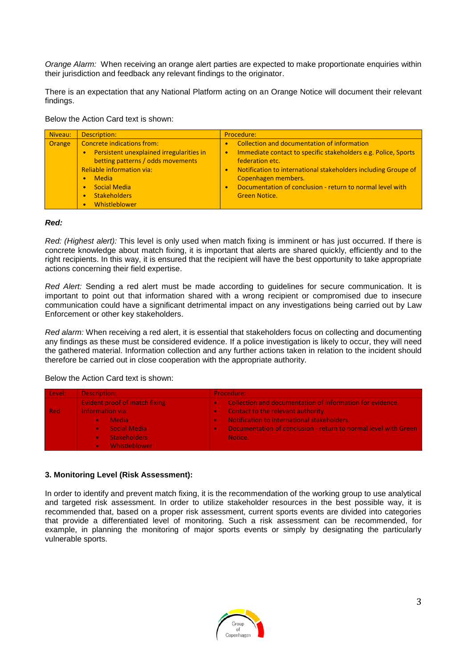*Orange Alarm:* When receiving an orange alert parties are expected to make proportionate enquiries within their jurisdiction and feedback any relevant findings to the originator.

There is an expectation that any National Platform acting on an Orange Notice will document their relevant findings.

Below the Action Card text is shown:

| Niveau: | Description:                                                                                                                                                                                                                          | Procedure:                                                                                                                                                                                                                                                                                                                  |
|---------|---------------------------------------------------------------------------------------------------------------------------------------------------------------------------------------------------------------------------------------|-----------------------------------------------------------------------------------------------------------------------------------------------------------------------------------------------------------------------------------------------------------------------------------------------------------------------------|
| Orange  | <b>Concrete indications from:</b><br>Persistent unexplained irregularities in<br>betting patterns / odds movements<br><b>Reliable information via:</b><br><b>Media</b><br><b>Social Media</b><br><b>Stakeholders</b><br>Whistleblower | Collection and documentation of information<br>Immediate contact to specific stakeholders e.g. Police, Sports<br>$\bullet$<br>federation etc.<br>Notification to international stakeholders including Groupe of<br>Copenhagen members.<br>Documentation of conclusion - return to normal level with<br><b>Green Notice.</b> |

#### *Red:*

*Red: (Highest alert):* This level is only used when match fixing is imminent or has just occurred. If there is concrete knowledge about match fixing, it is important that alerts are shared quickly, efficiently and to the right recipients. In this way, it is ensured that the recipient will have the best opportunity to take appropriate actions concerning their field expertise.

*Red Alert:* Sending a red alert must be made according to guidelines for secure communication. It is important to point out that information shared with a wrong recipient or compromised due to insecure communication could have a significant detrimental impact on any investigations being carried out by Law Enforcement or other key stakeholders.

*Red alarm:* When receiving a red alert, it is essential that stakeholders focus on collecting and documenting any findings as these must be considered evidence. If a police investigation is likely to occur, they will need the gathered material. Information collection and any further actions taken in relation to the incident should therefore be carried out in close cooperation with the appropriate authority.

Below the Action Card text is shown:

| Level: | Description:                  | Procedure:                                                      |  |  |  |  |
|--------|-------------------------------|-----------------------------------------------------------------|--|--|--|--|
|        | Evident proof of match fixing | Collection and documentation of information for evidence.       |  |  |  |  |
| - Red  | <b>Information via:</b>       | Contact to the relevant authority.                              |  |  |  |  |
|        | Media                         | Notification to international stakeholders.                     |  |  |  |  |
|        | <b>Social Media</b>           | Documentation of conclusion - return to normal level with Green |  |  |  |  |
|        | <b>Stakeholders</b>           | Notice.                                                         |  |  |  |  |
|        | Whistleblower<br>$\bullet$    |                                                                 |  |  |  |  |

## **3. Monitoring Level (Risk Assessment):**

In order to identify and prevent match fixing, it is the recommendation of the working group to use analytical and targeted risk assessment. In order to utilize stakeholder resources in the best possible way, it is recommended that, based on a proper risk assessment, current sports events are divided into categories that provide a differentiated level of monitoring. Such a risk assessment can be recommended, for example, in planning the monitoring of major sports events or simply by designating the particularly vulnerable sports.

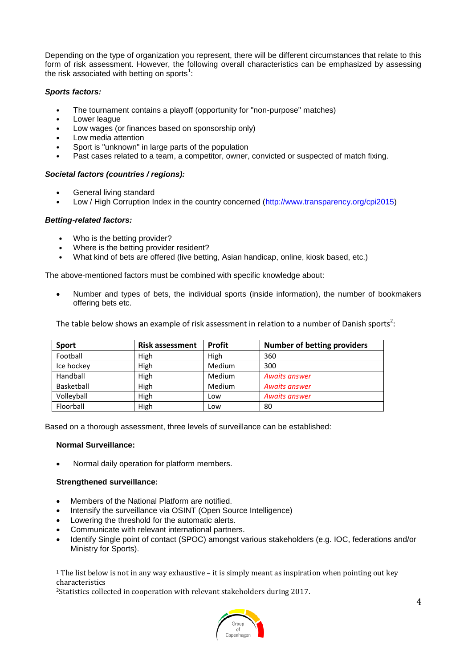Depending on the type of organization you represent, there will be different circumstances that relate to this form of risk assessment. However, the following overall characteristics can be emphasized by assessing the risk associated with betting on sports $^1$ :

# *Sports factors:*

- The tournament contains a playoff (opportunity for "non-purpose" matches)
- Lower league
- Low wages (or finances based on sponsorship only)
- Low media attention
- Sport is "unknown" in large parts of the population
- Past cases related to a team, a competitor, owner, convicted or suspected of match fixing.

# *Societal factors (countries / regions):*

- General living standard
- Low / High Corruption Index in the country concerned [\(http://www.transparency.org/cpi2015\)](http://www.transparency.org/cpi2015)

## *Betting-related factors:*

- Who is the betting provider?
- Where is the betting provider resident?
- What kind of bets are offered (live betting, Asian handicap, online, kiosk based, etc.)

The above-mentioned factors must be combined with specific knowledge about:

 Number and types of bets, the individual sports (inside information), the number of bookmakers offering bets etc.

The table below shows an example of risk assessment in relation to a number of Danish sports<sup>2</sup>:

| <b>Sport</b> | <b>Risk assessment</b> | <b>Profit</b> | <b>Number of betting providers</b> |
|--------------|------------------------|---------------|------------------------------------|
| Football     | High                   | High          | 360                                |
| Ice hockey   | High                   | Medium        | 300                                |
| Handball     | High                   | Medium        | <b>Awaits answer</b>               |
| Basketball   | High                   | Medium        | <b>Awaits answer</b>               |
| Volleyball   | High                   | Low           | <b>Awaits answer</b>               |
| Floorball    | High                   | Low           | 80                                 |

Based on a thorough assessment, three levels of surveillance can be established:

## **Normal Surveillance:**

 $\overline{a}$ 

Normal daily operation for platform members.

## **Strengthened surveillance:**

- Members of the National Platform are notified.
- Intensify the surveillance via OSINT (Open Source Intelligence)
- Lowering the threshold for the automatic alerts.
- Communicate with relevant international partners.
- Identify Single point of contact (SPOC) amongst various stakeholders (e.g. IOC, federations and/or Ministry for Sports).

<sup>2</sup>Statistics collected in cooperation with relevant stakeholders during 2017.



<sup>1</sup> The list below is not in any way exhaustive – it is simply meant as inspiration when pointing out key characteristics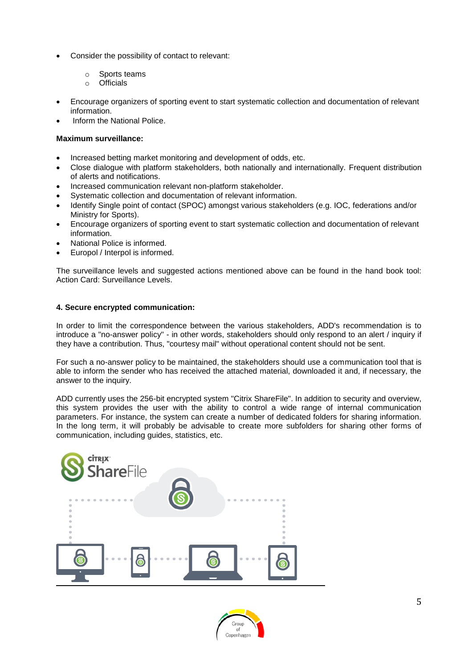- Consider the possibility of contact to relevant:
	- o Sports teams
	- o Officials
- Encourage organizers of sporting event to start systematic collection and documentation of relevant information.
- Inform the National Police.

# **Maximum surveillance:**

- Increased betting market monitoring and development of odds, etc.
- Close dialogue with platform stakeholders, both nationally and internationally. Frequent distribution of alerts and notifications.
- Increased communication relevant non-platform stakeholder.
- Systematic collection and documentation of relevant information.
- Identify Single point of contact (SPOC) amongst various stakeholders (e.g. IOC, federations and/or Ministry for Sports).
- Encourage organizers of sporting event to start systematic collection and documentation of relevant information.
- National Police is informed.
- Europol / Interpol is informed.

The surveillance levels and suggested actions mentioned above can be found in the hand book tool: Action Card: Surveillance Levels.

# **4. Secure encrypted communication:**

In order to limit the correspondence between the various stakeholders, ADD's recommendation is to introduce a "no-answer policy" - in other words, stakeholders should only respond to an alert / inquiry if they have a contribution. Thus, "courtesy mail" without operational content should not be sent.

For such a no-answer policy to be maintained, the stakeholders should use a communication tool that is able to inform the sender who has received the attached material, downloaded it and, if necessary, the answer to the inquiry.

ADD currently uses the 256-bit encrypted system "Citrix ShareFile". In addition to security and overview, this system provides the user with the ability to control a wide range of internal communication parameters. For instance, the system can create a number of dedicated folders for sharing information. In the long term, it will probably be advisable to create more subfolders for sharing other forms of communication, including guides, statistics, etc.



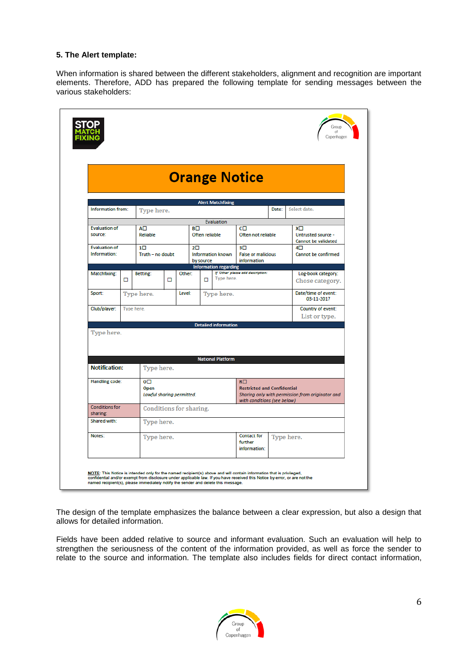### **5. The Alert template:**

When information is shared between the different stakeholders, alignment and recognition are important elements. Therefore, ADD has prepared the following template for sending messages between the various stakeholders:

|                                                                |            |                                |                           |        |                                                                                     |                |                             |                                                                                                                                     |       | Copenhagen                                                    |
|----------------------------------------------------------------|------------|--------------------------------|---------------------------|--------|-------------------------------------------------------------------------------------|----------------|-----------------------------|-------------------------------------------------------------------------------------------------------------------------------------|-------|---------------------------------------------------------------|
|                                                                |            |                                |                           |        |                                                                                     |                |                             | <b>Orange Notice</b>                                                                                                                |       |                                                               |
|                                                                |            |                                |                           |        |                                                                                     |                | <b>Alert Matchfixing</b>    |                                                                                                                                     |       |                                                               |
| Information from:                                              |            | Type here.                     |                           |        |                                                                                     |                |                             |                                                                                                                                     | Date: | Select date.                                                  |
| <b>Evaluation of</b><br>source:                                |            | $A\square$<br>Reliable         |                           |        | BП                                                                                  | Often reliable | Evaluation                  | $C\Box$<br>Often not reliable                                                                                                       |       | xп<br><b>Untrusted source -</b><br><b>Cannot be validated</b> |
| <b>Evaluation of</b><br>Information:                           |            | $1\square$<br>Truth - no doubt |                           |        | $2\square$<br><b>Information known</b><br>by source<br><b>Information regarding</b> |                |                             | 3 <sup>1</sup><br><b>False or malicious</b><br>information                                                                          |       | $4\square$<br><b>Cannot be confirmed</b>                      |
| Matchfixing:                                                   | □          | Betting:                       | □                         | Other: |                                                                                     | □              | Type here.                  | If 'Other' please add description:                                                                                                  |       | Log-book category:<br>Chose category.                         |
| Sport:                                                         |            | Type here.                     |                           | Level: | Type here.                                                                          |                |                             |                                                                                                                                     |       | Date/time of event:<br>03-11-2017                             |
| Club/player:                                                   | Type here. |                                |                           |        |                                                                                     |                |                             | Country of event:<br>List or type.                                                                                                  |       |                                                               |
| Type here.                                                     |            |                                |                           |        |                                                                                     |                | <b>Detailed information</b> |                                                                                                                                     |       |                                                               |
| <b>National Platform</b><br><b>Notification:</b><br>Type here. |            |                                |                           |        |                                                                                     |                |                             |                                                                                                                                     |       |                                                               |
| Handling code:                                                 |            | oΠ<br>Open                     | Lawful sharing permitted. |        |                                                                                     |                |                             | $R\square$<br><b>Restricted and Confidential</b><br>Sharing only with permission from originator and<br>with conditions (see below) |       |                                                               |
| <b>Conditions for</b><br>sharing:                              |            |                                | Conditions for sharing.   |        |                                                                                     |                |                             |                                                                                                                                     |       |                                                               |
| Shared with:                                                   |            |                                | Type here.                |        |                                                                                     |                |                             |                                                                                                                                     |       |                                                               |
| Notes:                                                         |            |                                | Type here.                |        |                                                                                     |                |                             | <b>Contact for</b><br>further<br>information:                                                                                       |       | Type here.                                                    |

The design of the template emphasizes the balance between a clear expression, but also a design that allows for detailed information.

Fields have been added relative to source and informant evaluation. Such an evaluation will help to strengthen the seriousness of the content of the information provided, as well as force the sender to relate to the source and information. The template also includes fields for direct contact information,

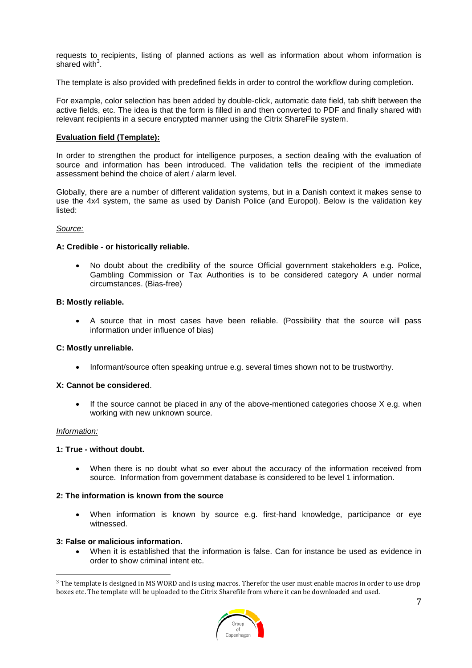requests to recipients, listing of planned actions as well as information about whom information is shared with $3$ .

The template is also provided with predefined fields in order to control the workflow during completion.

For example, color selection has been added by double-click, automatic date field, tab shift between the active fields, etc. The idea is that the form is filled in and then converted to PDF and finally shared with relevant recipients in a secure encrypted manner using the Citrix ShareFile system.

#### **Evaluation field (Template):**

In order to strengthen the product for intelligence purposes, a section dealing with the evaluation of source and information has been introduced. The validation tells the recipient of the immediate assessment behind the choice of alert / alarm level.

Globally, there are a number of different validation systems, but in a Danish context it makes sense to use the 4x4 system, the same as used by Danish Police (and Europol). Below is the validation key listed:

#### *Source:*

#### **A: Credible - or historically reliable.**

 No doubt about the credibility of the source Official government stakeholders e.g. Police, Gambling Commission or Tax Authorities is to be considered category A under normal circumstances. (Bias-free)

#### **B: Mostly reliable.**

 A source that in most cases have been reliable. (Possibility that the source will pass information under influence of bias)

#### **C: Mostly unreliable.**

Informant/source often speaking untrue e.g. several times shown not to be trustworthy.

#### **X: Cannot be considered**.

 $\bullet$  If the source cannot be placed in any of the above-mentioned categories choose X e.g. when working with new unknown source.

#### *Information:*

 $\overline{a}$ 

#### **1: True - without doubt.**

 When there is no doubt what so ever about the accuracy of the information received from source. Information from government database is considered to be level 1 information.

## **2: The information is known from the source**

 When information is known by source e.g. first-hand knowledge, participance or eye witnessed.

#### **3: False or malicious information.**

 When it is established that the information is false. Can for instance be used as evidence in order to show criminal intent etc.

<sup>&</sup>lt;sup>3</sup> The template is designed in MS WORD and is using macros. Therefor the user must enable macros in order to use drop boxes etc. The template will be uploaded to the Citrix Sharefile from where it can be downloaded and used.